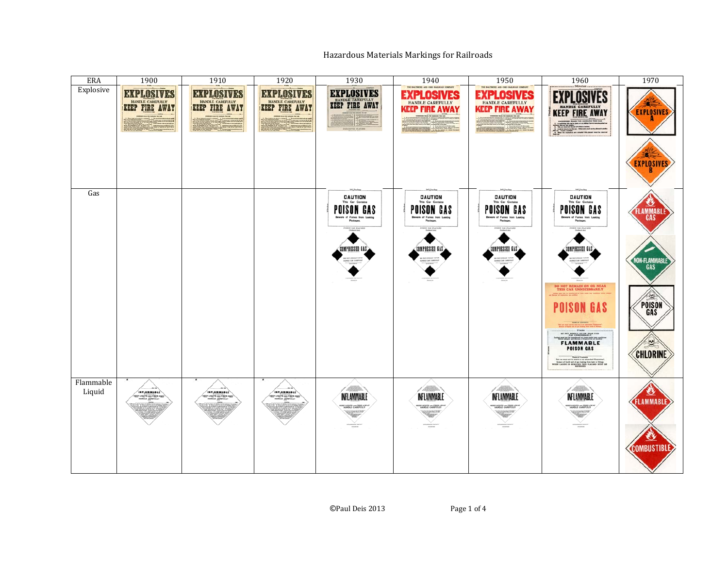## Hazardous Materials Markings for Railroads

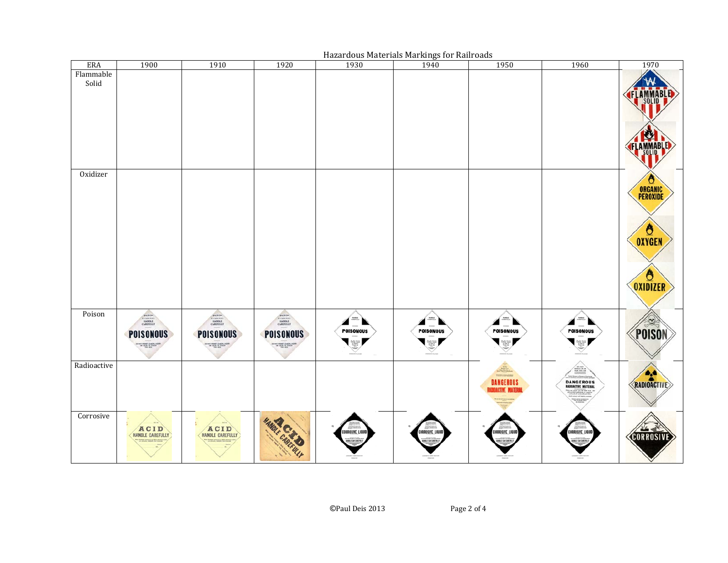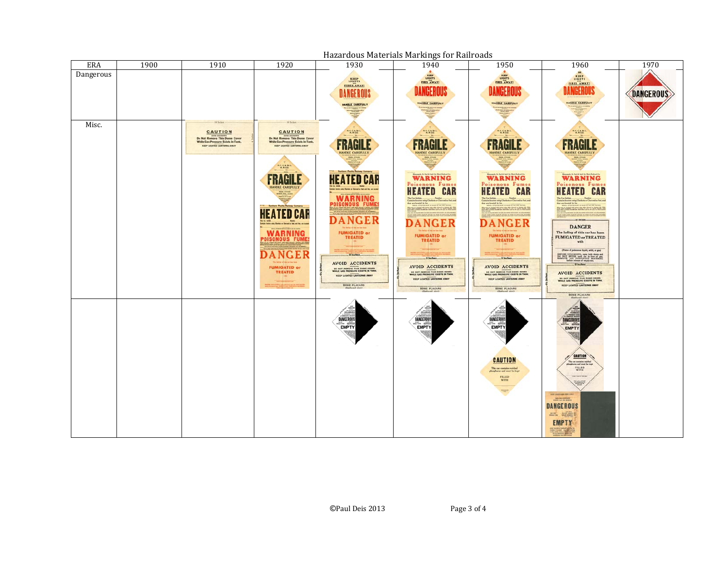